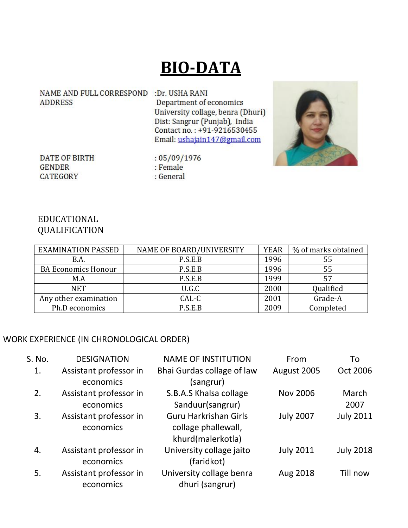# **BIO-DATA**

NAME AND FULL CORRESPOND :Dr. USHA RANI **ADDRESS** 

Department of economics University collage, benra (Dhuri) Dist: Sangrur (Punjab), India Contact no.: +91-9216530455 Email: ushajain147@gmail.com



**DATE OF BIRTH GENDER** CATEGORY

 $:05/09/1976$ : Female : General

#### EDUCATIONAL QUALIFICATION

| <b>EXAMINATION PASSED</b>  | <b>NAME OF BOARD/UNIVERSITY</b> | <b>YEAR</b> | % of marks obtained |
|----------------------------|---------------------------------|-------------|---------------------|
| B.A.                       | P.S.E.B                         | 1996        | 55                  |
| <b>BA Economics Honour</b> | P.S.E.B                         | 1996        | 55                  |
| M.A                        | P.S.E.B                         | 1999        | 57                  |
| <b>NET</b>                 | U.G.C                           | 2000        | Qualified           |
| Any other examination      | CAL-C                           | 2001        | Grade-A             |
| Ph.D economics             | P.S.E.B                         | 2009        | Completed           |

#### WORK EXPERIENCE (IN CHRONOLOGICAL ORDER)

| <b>DESIGNATION</b>     | <b>NAME OF INSTITUTION</b> | From             | To               |
|------------------------|----------------------------|------------------|------------------|
| Assistant professor in | Bhai Gurdas collage of law | August 2005      | Oct 2006         |
| economics              | (sangrur)                  |                  |                  |
| Assistant professor in | S.B.A.S Khalsa collage     | <b>Nov 2006</b>  | March            |
| economics              | Sanduur(sangrur)           |                  | 2007             |
| Assistant professor in | Guru Harkrishan Girls      | <b>July 2007</b> | <b>July 2011</b> |
| economics              | collage phallewall,        |                  |                  |
|                        | khurd(malerkotla)          |                  |                  |
| Assistant professor in | University collage jaito   | <b>July 2011</b> | <b>July 2018</b> |
| economics              | (faridkot)                 |                  |                  |
| Assistant professor in | University collage benra   | Aug 2018         | Till now         |
| economics              | dhuri (sangrur)            |                  |                  |
|                        |                            |                  |                  |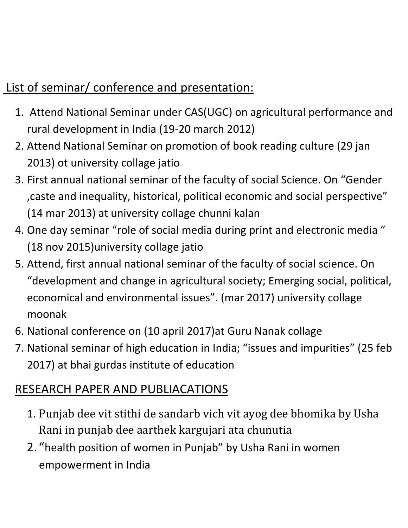## List of seminar/ conference and presentation:

- 1. Attend National Seminar under CAS(UGC) on agricultural performance and rural development in India (19-20 march 2012)
- 2. Attend National Seminar on promotion of book reading culture (29 jan 2013) ot university collage jatio
- 3. First annual national seminar of the faculty of social Science. On "Gender ,caste and inequality, historical, political economic and social perspective" (14 mar 2013) at university collage chunni kalan
- 4. One day seminar "role of social media during print and electronic media " (18 nov 2015)university collage jatio
- 5. Attend, first annual national seminar of the faculty of social science. On "development and change in agricultural society; Emerging social, political, economical and environmental issues". (mar 2017) university collage moonak
- 6. National conference on (10 april 2017)at Guru Nanak collage
- 7. National seminar of high education in India; "issues and impurities" (25 feb 2017) at bhai gurdas institute of education

### RESEARCH PAPER AND PUBLIACATIONS

- 1. Punjab dee vit stithi de sandarb vich vit ayog dee bhomika by Usha Rani in punjab dee aarthek kargujari ata chunutia
- 2. "health position of women in Punjab" by Usha Rani in women empowerment in India